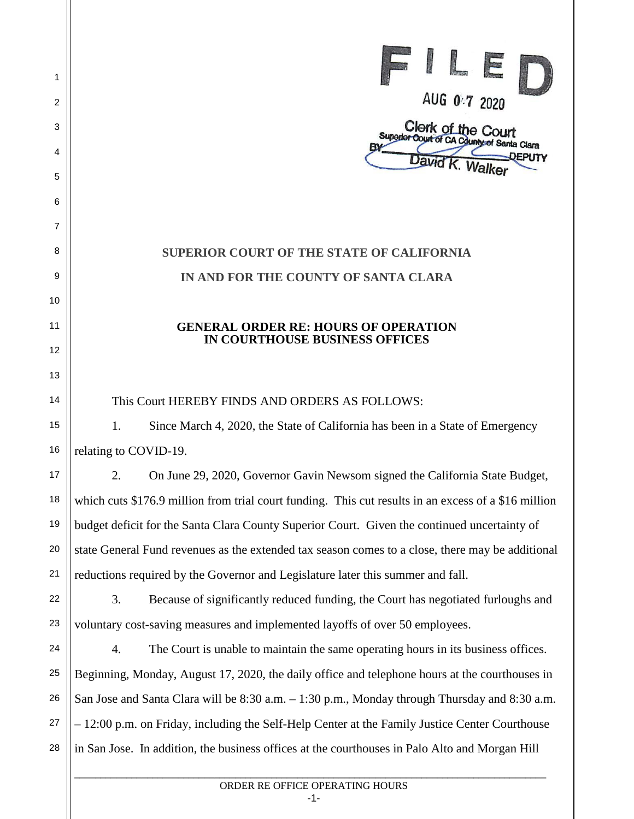| 1<br>2 | AUG 0:7 2020                                                                                         |
|--------|------------------------------------------------------------------------------------------------------|
| 3      | Clerk of the Court                                                                                   |
| 4      | Court of CA County of Santa Clara                                                                    |
| 5      | David K W                                                                                            |
| 6      |                                                                                                      |
| 7      |                                                                                                      |
| 8      | <b>SUPERIOR COURT OF THE STATE OF CALIFORNIA</b>                                                     |
| 9      | IN AND FOR THE COUNTY OF SANTA CLARA                                                                 |
| 10     |                                                                                                      |
| 11     | <b>GENERAL ORDER RE: HOURS OF OPERATION</b><br><b>IN COURTHOUSE BUSINESS OFFICES</b>                 |
| 12     |                                                                                                      |
| 13     |                                                                                                      |
| 14     | This Court HEREBY FINDS AND ORDERS AS FOLLOWS:                                                       |
| 15     | 1.<br>Since March 4, 2020, the State of California has been in a State of Emergency                  |
| 16     | relating to COVID-19.                                                                                |
| 17     | 2.<br>On June 29, 2020, Governor Gavin Newsom signed the California State Budget,                    |
| 18     | which cuts \$176.9 million from trial court funding. This cut results in an excess of a \$16 million |
| 19     | budget deficit for the Santa Clara County Superior Court. Given the continued uncertainty of         |
| 20     | state General Fund revenues as the extended tax season comes to a close, there may be additional     |
| 21     | reductions required by the Governor and Legislature later this summer and fall.                      |
| 22     | 3.<br>Because of significantly reduced funding, the Court has negotiated furloughs and               |
| 23     | voluntary cost-saving measures and implemented layoffs of over 50 employees.                         |
| 24     | The Court is unable to maintain the same operating hours in its business offices.<br>4.              |
| 25     | Beginning, Monday, August 17, 2020, the daily office and telephone hours at the courthouses in       |
| 26     | San Jose and Santa Clara will be 8:30 a.m. – 1:30 p.m., Monday through Thursday and 8:30 a.m.        |
| 27     | - 12:00 p.m. on Friday, including the Self-Help Center at the Family Justice Center Courthouse       |
| 28     | in San Jose. In addition, the business offices at the courthouses in Palo Alto and Morgan Hill       |
|        |                                                                                                      |

## ORDER RE OFFICE OPERATING HOURS